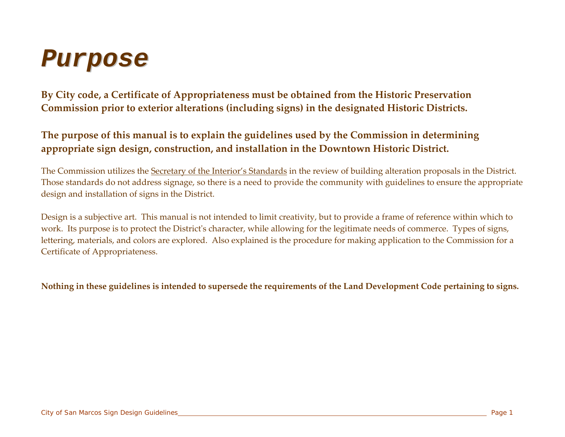### *P u rp o s e*

**By City code, <sup>a</sup> Certificate of Appropriateness must be obtained from the Historic Preservation Commission prior to exterior alterations (including signs) in the designated Historic Districts.**

#### **The purpose of this manual is to explain the guidelines used by the Commission in determining appropriate sign design, construction, and installation in the Downtown Historic District.**

The Commission utilizes the <u>Secretary of the Interior's Standards</u> in the review of building alteration proposals in the District. Those standards do not address signage, so there is a need to provide the community with guidelines to ensure the appropriate design and installation of signs in the District.

Design is a subjective art. This manual is not intended to limit creativity, but to provide a frame of reference within which to work. Its purpose is to protect the District<sup>ʹ</sup><sup>s</sup> character, while allowing for the legitimate needs of commerce. Types of signs, lettering, materials, and colors are explored. Also explained is the procedure for making application to the Commission for a Certificate of Appropriateness.

Nothing in these guidelines is intended to supersede the requirements of the Land Development Code pertaining to signs.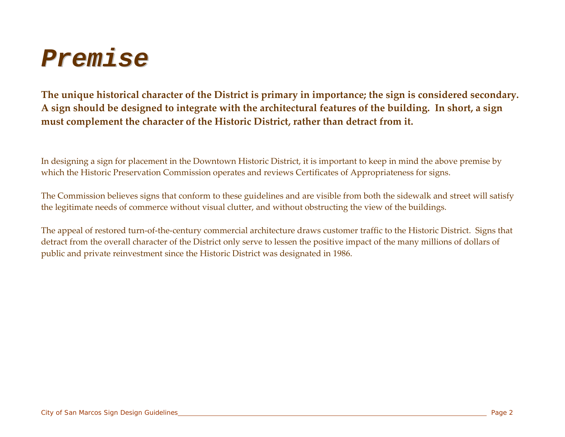

The unique historical character of the District is primary in importance; the sign is considered secondary. A sign should be designed to integrate with the architectural features of the building. In short, a sign **must complement the character of the Historic District, rather than detract from it.**

In designing a sign for placement in the Downtown Historic District, it is important to keep in mind the above premise by which the Historic Preservation Commission operates and reviews Certificates of Appropriateness for signs.

The Commission believes signs that conform to these guidelines and are visible from both the sidewalk and street will satisfy the legitimate needs of commerce without visual clutter, and without obstructing the view of the buildings.

The appeal of restored turn‐of‐the‐century commercial architecture draws customer traffic to the Historic District. Signs that detract from the overall character of the District only serve to lessen the positive impact of the many millions of dollars of public and private reinvestment since the Historic District was designated in 1986.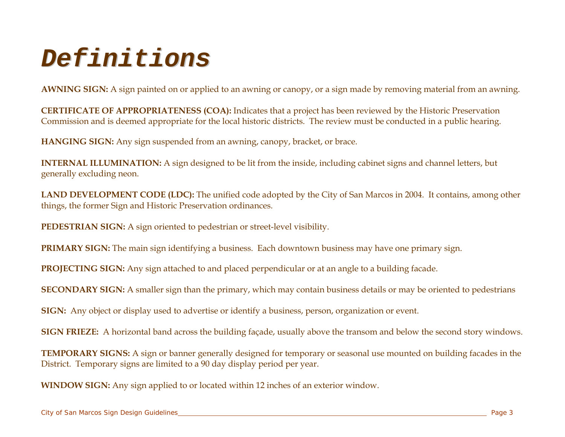### *Definitions*

**AWNING SIGN:** A sign painted on or applied to an awning or canopy, or a sign made by removing material from an awning.

**CERTIFICATE OF APPROPRIATENESS (COA):** Indicates that a project has been reviewed by the Historic Preservation Commission and is deemed appropriate for the local historic districts. The review must be conducted in a public hearing.

**HANGING SIGN:** Any sign suspended from an awning, canopy, bracket, or brace.

**INTERNAL ILLUMINATION:** A sign designed to be lit from the inside, including cabinet signs and channel letters, but generally excluding neon.

**LAND DEVELOPMENT CODE (LDC):** The unified code adopted by the City of San Marcos in 2004. It contains, among other things, the former Sign and Historic Preservation ordinances.

**PEDESTRIAN SIGN:** A sign oriented to pedestrian or street-level visibility.

**PRIMARY SIGN:** The main sign identifying a business. Each downtown business may have one primary sign.

**PROJECTING SIGN:** Any sign attached to and placed perpendicular or at an angle to a building facade.

**SECONDARY SIGN:** A smaller sign than the primary, which may contain business details or may be oriented to pedestrians

**SIGN:** Any object or display used to advertise or identify a business, person, organization or event.

**SIGN FRIEZE:** A horizontal band across the building façade, usually above the transom and below the second story windows.

**TEMPORARY SIGNS:** A sign or banner generally designed for temporary or seasonal use mounted on building facades in the District. Temporary signs are limited to a 90 day display period per year.

**WINDOW SIGN:** Any sign applied to or located within 12 inches of an exterior window.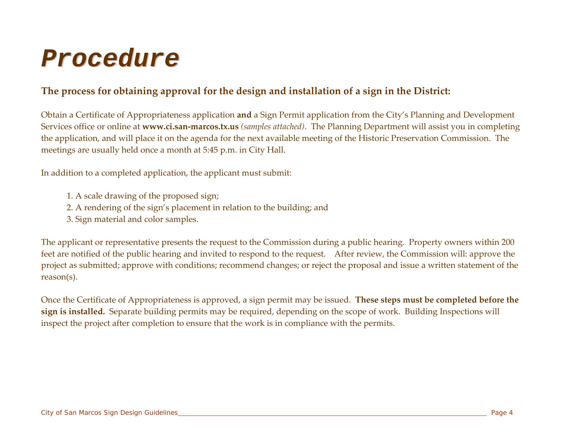### *Procedure*

#### **The process for obtaining approval for the design and installation of <sup>a</sup> sign in the District:**

Obtain a Certificate of Appropriateness application **and** a Sign Permit application from the City's Planning and Development Services office or online at **www.ci.san‐marcos.tx.us** *(samples attached)*. The Planning Department will assist you in completing the application, and will place it on the agenda for the next available meeting of the Historic Preservation Commission. The meetings are usually held once a month at 5:45 p.m. in City Hall.

In addition to a completed application, the applicant must submit:

- 1. A scale drawing of the proposed sign;
- 2. A rendering of the sign's placement in relation to the building; and
- 3. Sign material and color samples.

The applicant or representative presents the reques<sup>t</sup> to the Commission during a public hearing. Property owners within 200 feet are notified of the public hearing and invited to respond to the request. After review, the Commission will: approve the project as submitted; approve with conditions; recommend changes; or reject the proposal and issue a written statement of the reason(s).

Once the Certificate of Appropriateness is approved, a sign permit may be issued. **These steps must be completed before the sign is installed.** Separate building permits may be required, depending on the scope of work. Building Inspections will inspect the project after completion to ensure that the work is in compliance with the permits.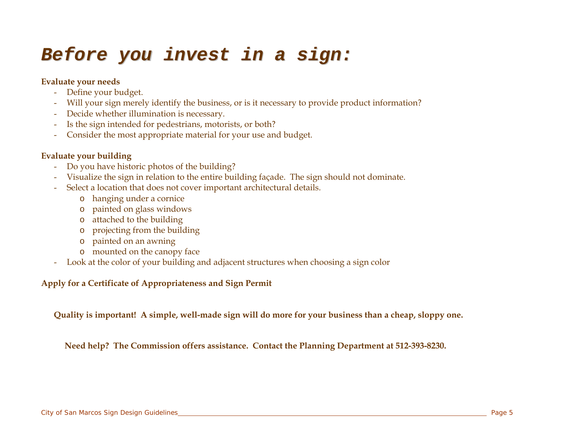### *Before you invest in a sign:*

#### **Evaluate your needs**

- Define your budget.
- Will your sign merely identify the business, or is it necessary to provide product information?
- Decide whether illumination is necessary.
- Is the sign intended for pedestrians, motorists, or both?
- Consider the most appropriate material for your use and budget.

#### **Evaluate your building**

- Do you have historic photos of the building?
- Visualize the sign in relation to the entire building façade. The sign should not dominate.
- Select a location that does not cover important architectural details.
	- o hanging under a cornice
	- o painted on glass windows
	- o attached to the building
	- o projecting from the building
	- o painted on an awning
	- o mounted on the canopy face
- Look at the color of your building and adjacent structures when choosing a sign color

#### **Apply for a Certificate of Appropriateness and Sign Permit**

**Quality is important! A simple, well-made sign will do more for your business than a cheap, sloppy one.** 

 **Need help? The Commission offers assistance. Contact the Planning Department at 512-393-8230.**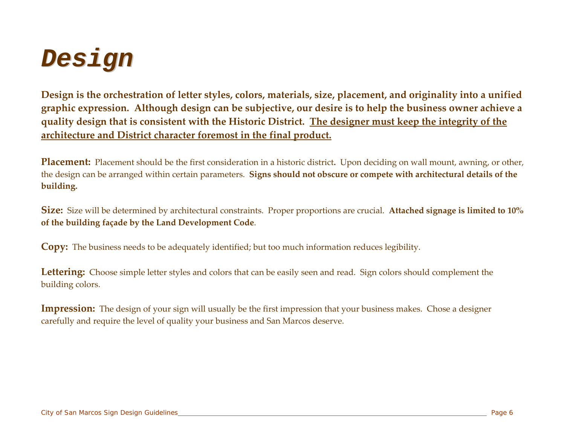

Design is the orchestration of letter styles, colors, materials, size, placement, and originality into a unified graphic expression. Although design can be subjective, our desire is to help the business owner achieve a quality design that is consistent with the Historic District. The designer must keep the integrity of the **architecture and District character foremost in the final product.**

**Placement:** Placement should be the first consideration in a historic district**.** Upon deciding on wall mount, awning, or other, the design can be arranged within certain parameters. **Signs should not obscure or compete with architectural details of the building.**

**Size:** Size will be determined by architectural constraints. Proper proportions are crucial. **Attached signage is limited to 10% of the building façade by the Land Development Code**.

**Copy:** The business needs to be adequately identified; but too much information reduces legibility.

Lettering: Choose simple letter styles and colors that can be easily seen and read. Sign colors should complement the building colors.

**Impression:** The design of your sign will usually be the first impression that your business makes. Chose a designer carefully and require the level of quality your business and San Marcos deserve.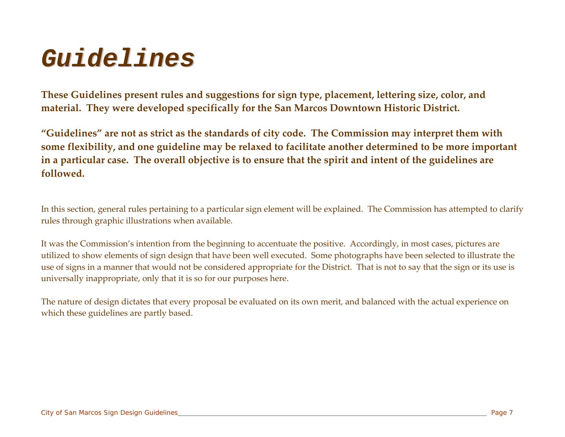### *G uidelines*

**These Guidelines presen<sup>t</sup> rules and suggestions for sign type, placement, lettering size, color, and material. They were developed specifically for the San Marcos Downtown Historic District.**

**"Guidelines" are not as strict as the standards of city code. The Commission may interpret them with some flexibility, and one guideline may be relaxed to facilitate another determined to be more important** in a particular case. The overall objective is to ensure that the spirit and intent of the guidelines are **followed.**

In this section, general rules pertaining to a particular sign element will be explained. The Commission has attempted to clarify rules through graphic illustrations when available.

It was the Commission's intention from the beginning to accentuate the positive. Accordingly, in most cases, pictures are utilized to show elements of sign design that have been well executed. Some photographs have been selected to illustrate the use of signs in a manner that would not be considered appropriate for the District. That is not to say that the sign or its use is universally inappropriate, only that it is so for our purposes here.

The nature of design dictates that every proposal be evaluated on its own merit, and balanced with the actual experience on which these guidelines are partly based.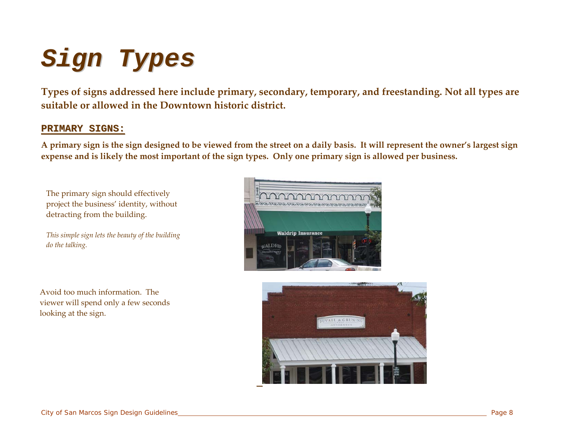# *S i gn Typ e s*

**Types of signs addressed here include primary, secondary, temporary, and freestanding. Not all types are suitable or allowed in the Downtown historic district.**

#### **P R I MA R Y S I G N S:**

A primary sign is the sign designed to be viewed from the street on a daily basis. It will represent the owner's largest sign expense and is likely the most important of the sign types. Only one primary sign is allowed per business.

The primary sign should effectively project the business' identity, without detracting from the building.

*This simple sign lets the beauty of the building do the talking.*



Avoid too much information. The viewer will spend only a few seconds looking at the sign.

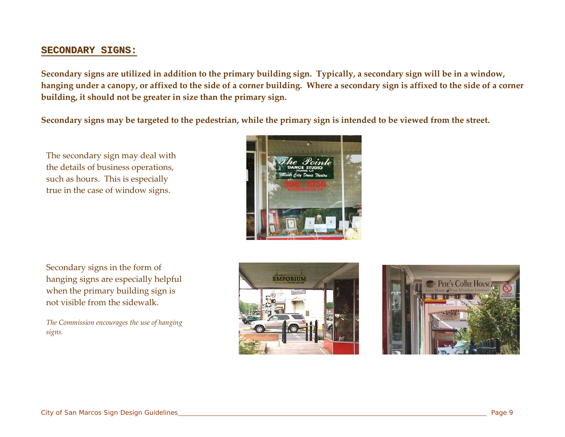#### **SECONDARY SIGNS:**

Secondary signs are utilized in addition to the primary building sign. Typically, a secondary sign will be in a window, hanging under a canopy, or affixed to the side of a corner building. Where a secondary sign is affixed to the side of a corner **building, it should not be greater in size than the primary sign.**

Secondary signs may be targeted to the pedestrian, while the primary sign is intended to be viewed from the street.

The secondary sign may deal with the details of business operations, such as hours. This is especially true in the case of window signs.



Secondary signs in the form of hanging signs are especially helpful when the primary building sign is not visible from the sidewalk.

*The Commission encourages the use of hanging signs.*



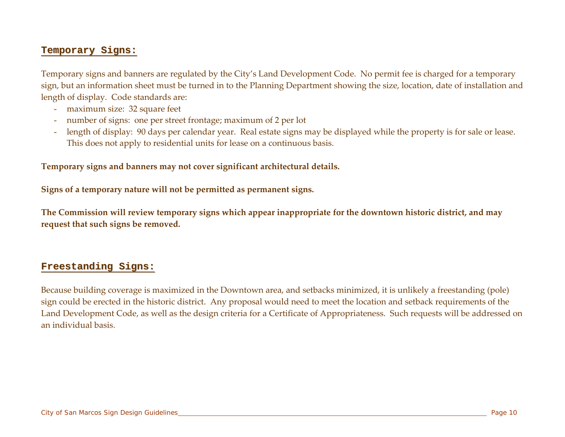#### Temporary Signs:

Temporary signs and banners are regulated by the City's Land Development Code. No permit fee is charged for a temporary sign, but an information sheet must be turned in to the Planning Department showing the size, location, date of installation and length of display. Code standards are:

- maximum size: 32 square feet
- number of signs: one per street frontage; maximum of 2 per lot
- length of display: 90 days per calendar year. Real estate signs may be displayed while the property is for sale or lease. This does not apply to residential units for lease on a continuous basis.

#### **Temporary signs and banners may not cover significant architectural details.**

**Signs of a temporary nature will not be permitted as permanen<sup>t</sup> signs.**

The Commission will review temporary signs which appear inappropriate for the downtown historic district, and may **reques<sup>t</sup> that such signs be removed.**

#### **Freestanding Signs:**

Because building coverage is maximized in the Downtown area, and setbacks minimized, it is unlikely a freestanding (pole) sign could be erected in the historic district. Any proposal would need to meet the location and setback requirements of the Land Development Code, as well as the design criteria for a Certificate of Appropriateness. Such requests will be addressed on an individual basis.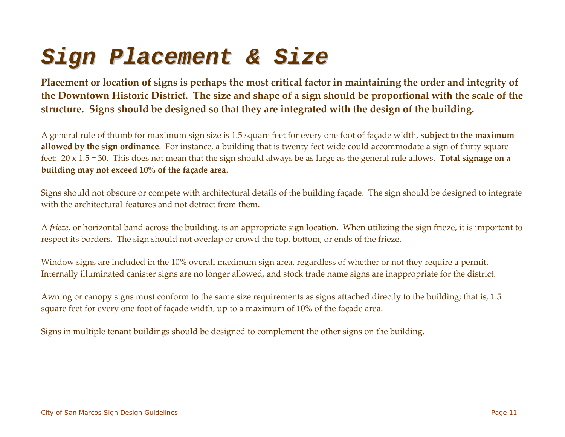### *Sign Placement & Size*

Placement or location of signs is perhaps the most critical factor in maintaining the order and integrity of the Downtown Historic District. The size and shape of a sign should be proportional with the scale of the **structure. Signs should be designed so that they are integrated with the design of the building.**

A general rule of thumb for maximum sign size is 1.5 square feet for every one foot of façade width, **subject to the maximum allowed by the sign ordinance**. For instance*,* a building that is twenty feet wide could accommodate a sign of thirty square feet: 20 x 1.5 = 30. This does not mean that the sign should always be as large as the general rule allows. **Total signage on a building may not exceed 10% of the façade area**.

Signs should not obscure or compete with architectural details of the building façade. The sign should be designed to integrate with the architectural features and not detract from them.

A *frieze,* or horizontal band across the building, is an appropriate sign location. When utilizing the sign frieze, it is important to respec<sup>t</sup> its borders. The sign should not overlap or crowd the top, bottom, or ends of the frieze.

Window signs are included in the 10% overall maximum sign area, regardless of whether or not they require a permit. Internally illuminated canister signs are no longer allowed, and stock trade name signs are inappropriate for the district.

Awning or canopy signs must conform to the same size requirements as signs attached directly to the building; that is, 1.5 square feet for every one foot of façade width, up to a maximum of 10% of the façade area.

Signs in multiple tenant buildings should be designed to complement the other signs on the building.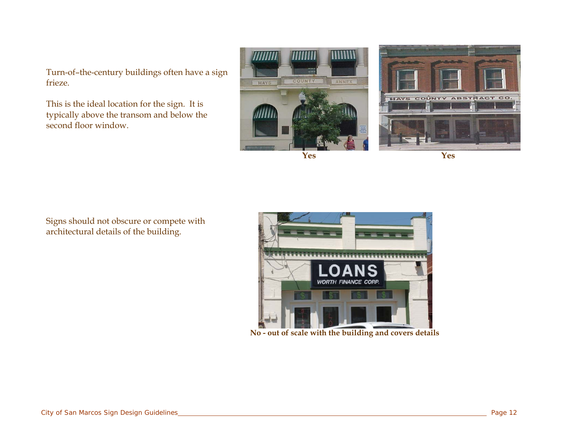Turn-of–the-century buildings often have a sign frieze.

This is the ideal location for the sign. It is typically above the transom and below the second floor window.





Yes

Signs should not obscure or compete with architectural details of the building.



**No - out of scale with the building and covers details**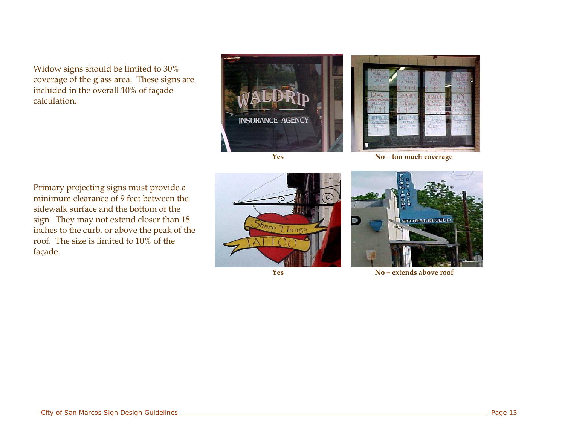Widow signs should be limited to 30% coverage of the glass area. These signs are included in the overall 10% of façade calculation.



**Yes**



**No – too much coverage**

Primary projecting signs must provide a minimum clearance of 9 feet between the sidewalk surface and the bottom of the sign. They may not extend closer than 18 inches to the curb, or above the peak of the roof. The size is limited to 10% of the façade.



**Yes**



**No– extends above roof**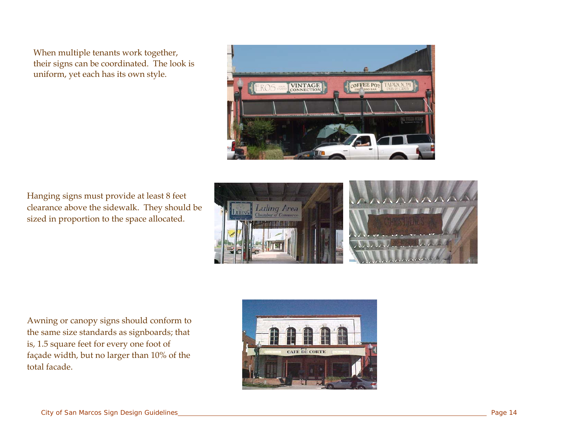When multiple tenants work together, their signs can be coordinated. The look is uniform, yet each has its own style.



Hanging signs must provide at least 8 feet clearance above the sidewalk. They should be sized in proportion to the space allocated.



Awning or canopy signs should conform to the same size standards as signboards; that is, 1.5 square feet for every one foot of façade width, but no larger than 10% of the total facade.

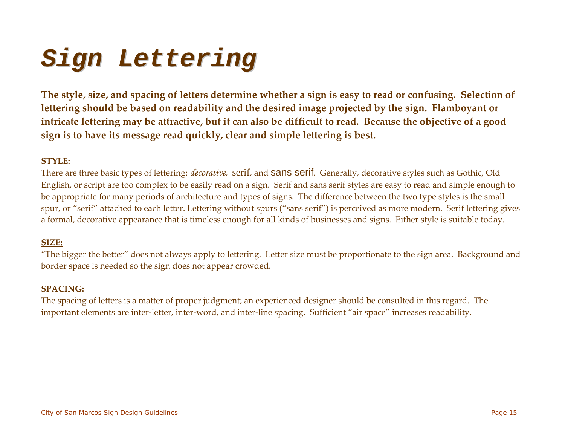# *sign Lettering*

The style, size, and spacing of letters determine whether a sign is easy to read or confusing. Selection of **lettering should be based on readability and the desired image projected by the sign. Flamboyant or** intricate lettering may be attractive, but it can also be difficult to read. Because the objective of a good **sign is to have its message read quickly, clear and simple lettering is best.**

#### **STYLE:**

There are three basic types of lettering: *decorative*, serif, and sans serif. Generally, decorative styles such as Gothic, Old English, or script are too complex to be easily read on a sign. Serif and sans serif styles are easy to read and simple enough to be appropriate for many periods of architecture and types of signs. The difference between the two type styles is the small spur, or "serif" attached to each letter. Lettering without spurs ("sans serif") is perceived as more modern. Serif lettering gives a formal, decorative appearance that is timeless enough for all kinds of businesses and signs. Either style is suitable today.

#### **SIZE:**

"The bigger the better" does not always apply to lettering. Letter size must be proportionate to the sign area. Background and border space is needed so the sign does not appear crowded.

#### **SPACING:**

The spacing of letters is a matter of proper judgment; an experienced designer should be consulted in this regard. The important elements are inter-letter, inter-word, and inter-line spacing. Sufficient "air space" increases readability.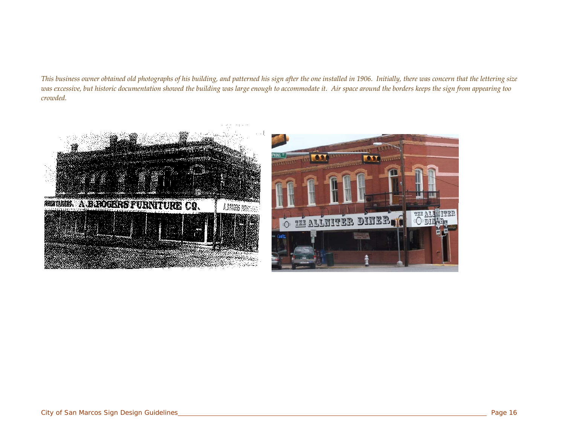#### This business owner obtained old photographs of his building, and patterned his sign after the one installed in 1906. Initially, there was concern that the lettering size was excessive, but historic documentation showed the building was large enough to accommodate it. Air space around the borders keeps the sign from appearing too *crowded.*

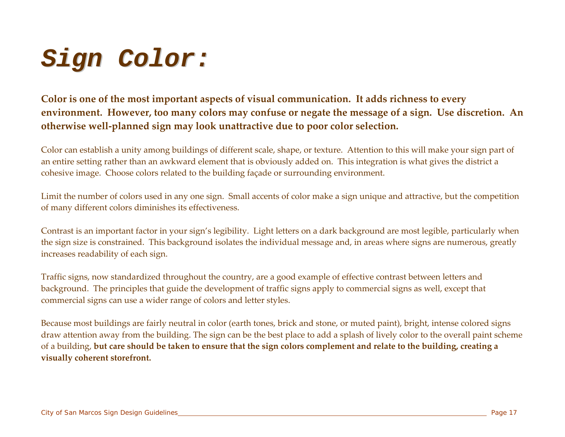# *Sign Color:*

**Color is one of the most important aspects of visual communication. It adds richness to every** environment. However, too many colors may confuse or negate the message of a sign. Use discretion. An **otherwise well‐planned sign may look unattractive due to poor color selection.**

Color can establish a unity among buildings of different scale, shape, or texture. Attention to this will make your sign par<sup>t</sup> of an entire setting rather than an awkward element that is obviously added on. This integration is what gives the district a cohesive image. Choose colors related to the building façade or surrounding environment.

Limit the number of colors used in any one sign. Small accents of color make a sign unique and attractive, but the competition of many different colors diminishes its effectiveness.

Contrast is an important factor in your sign's legibility. Light letters on a dark background are most legible, particularly when the sign size is constrained. This background isolates the individual message and, in areas where signs are numerous, greatly increases readability of each sign.

Traffic signs, now standardized throughout the country, are a good example of effective contrast between letters and background. The principles that guide the development of traffic signs apply to commercial signs as well, excep<sup>t</sup> that commercial signs can use a wider range of colors and letter styles.

Because most buildings are fairly neutral in color (earth tones, brick and stone, or muted paint), bright, intense colored signs draw attention away from the building. The sign can be the best place to add a splash of lively color to the overall paint scheme of a building, **but care should be taken to ensure that the sign colors complement and relate to the building, creating a visually coherent storefront.**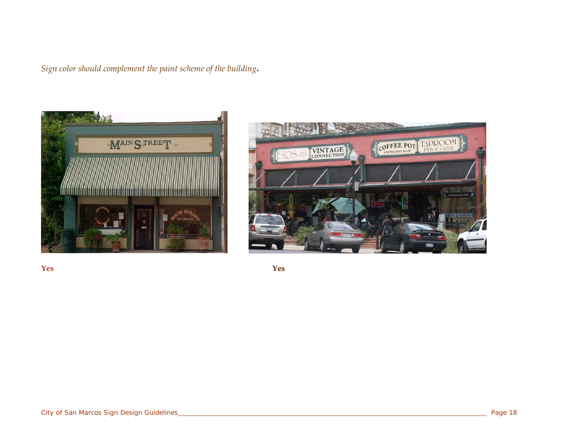*Sign color should complement the paint scheme of the building.*





**Yes**

**Y es**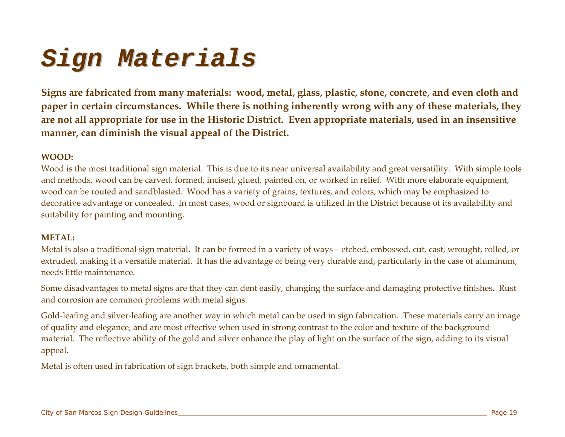### *Sign Materials*

Signs are fabricated from many materials: wood, metal, glass, plastic, stone, concrete, and even cloth and **paper in certain circumstances. While there is nothing inherently wrong with any of these materials, they** are not all appropriate for use in the Historic District. Even appropriate materials, used in an insensitive **manner, can diminish the visual appeal of the District.**

#### **WOOD:**

Wood is the most traditional sign material. This is due to its near universal availability and grea<sup>t</sup> versatility. With simple tools and methods, wood can be carved, formed, incised, glued, painted on, or worked in relief. With more elaborate equipment, wood can be routed and sandblasted. Wood has a variety of grains, textures, and colors, which may be emphasized to decorative advantage or concealed. In most cases, wood or signboard is utilized in the District because of its availability and suitability for painting and mounting.

#### **METAL:**

Metal is also a traditional sign material. It can be formed in a variety of ways – etched, embossed, cut, cast, wrought, rolled, or extruded, making it a versatile material. It has the advantage of being very durable and, particularly in the case of aluminum, needs little maintenance.

Some disadvantages to metal signs are that they can dent easily, changing the surface and damaging protective finishes. Rust and corrosion are common problems with metal signs.

Gold-leafing and silver-leafing are another way in which metal can be used in sign fabrication. These materials carry an image of quality and elegance, and are most effective when used in strong contrast to the color and texture of the background material. The reflective ability of the gold and silver enhance the play of light on the surface of the sign, adding to its visual appeal.

Metal is often used in fabrication of sign brackets, both simple and ornamental.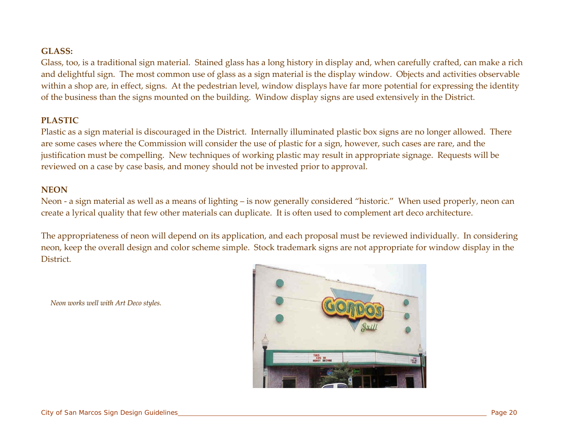#### **GLASS:**

Glass, too, is a traditional sign material. Stained glass has a long history in display and, when carefully crafted, can make a rich and delightful sign. The most common use of glass as a sign material is the display window. Objects and activities observable within a shop are, in effect, signs. At the pedestrian level, window displays have far more potential for expressing the identity of the business than the signs mounted on the building. Window display signs are used extensively in the District.

#### **PLASTIC**

Plastic as a sign material is discouraged in the District. Internally illuminated plastic box signs are no longer allowed. There are some cases where the Commission will consider the use of plastic for a sign, however, such cases are rare, and the justification must be compelling. New techniques of working plastic may result in appropriate signage. Requests will be reviewed on a case by case basis, and money should not be invested prior to approval.

#### **NEON**

Neon - a sign material as well as a means of lighting – is now generally considered "historic." When used properly, neon can create a lyrical quality that few other materials can duplicate. It is often used to complement art deco architecture.

The appropriateness of neon will depend on its application, and each proposal must be reviewed individually. In considering neon, keep the overall design and color scheme simple. Stock trademark signs are not appropriate for window display in the **District** 

*Neon works well with Art Deco styles.*

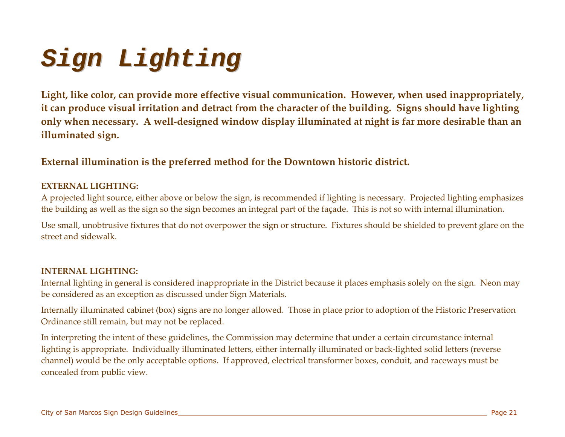# *S i gn L i gh t i n g*

**Light, like color, can provide more effective visual communication. However, when used inappropriately,** it can produce visual irritation and detract from the character of the building. Signs should have lighting only when necessary. A well-designed window display illuminated at night is far more desirable than an **illuminated sign.**

#### **External illumination is the preferred method for the Downtown historic district.**

#### **EXTERNAL LIGHTING:**

A projected light source, either above or below the sign, is recommended if lighting is necessary. Projected lighting emphasizes the building as well as the sign so the sign becomes an integral par<sup>t</sup> of the façade. This is not so with internal illumination.

Use small, unobtrusive fixtures that do not overpower the sign or structure. Fixtures should be shielded to preven<sup>t</sup> glare on the street and sidewalk.

#### **INTERNAL LIGHTING:**

Internal lighting in general is considered inappropriate in the District because it places emphasis solely on the sign. Neon may be considered as an exception as discussed under Sign Materials.

Internally illuminated cabinet (box) signs are no longer allowed. Those in place prior to adoption of the Historic Preservation Ordinance still remain, but may not be replaced.

In interpreting the intent of these guidelines, the Commission may determine that under a certain circumstance internal lighting is appropriate. Individually illuminated letters, either internally illuminated or back‐lighted solid letters (reverse channel) would be the only acceptable options. If approved, electrical transformer boxes, conduit, and raceways must be concealed from public view.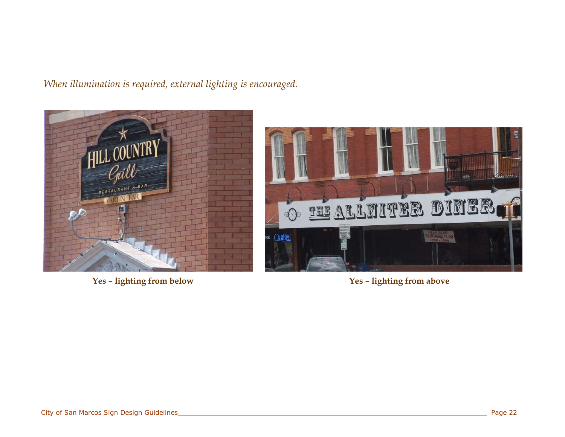#### *When illumination is required, external lighting is encouraged.*





**Yes – lighting from below Yes – lighting from above**